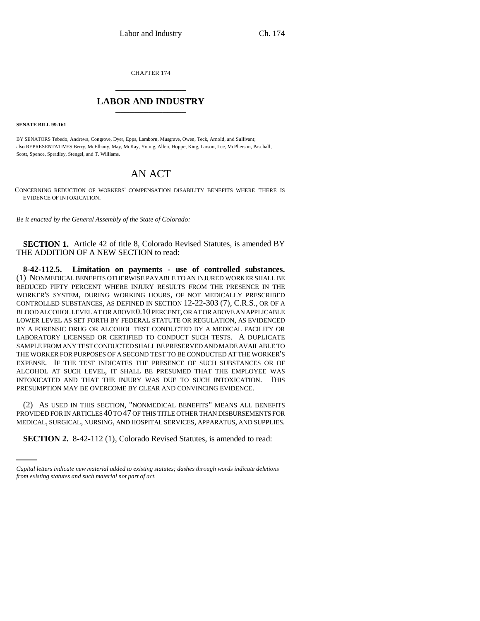CHAPTER 174 \_\_\_\_\_\_\_\_\_\_\_\_\_\_\_

## **LABOR AND INDUSTRY** \_\_\_\_\_\_\_\_\_\_\_\_\_\_\_

**SENATE BILL 99-161** 

BY SENATORS Tebedo, Andrews, Congrove, Dyer, Epps, Lamborn, Musgrave, Owen, Teck, Arnold, and Sullivant; also REPRESENTATIVES Berry, McElhany, May, McKay, Young, Allen, Hoppe, King, Larson, Lee, McPherson, Paschall, Scott, Spence, Spradley, Stengel, and T. Williams.

## AN ACT

CONCERNING REDUCTION OF WORKERS' COMPENSATION DISABILITY BENEFITS WHERE THERE IS EVIDENCE OF INTOXICATION.

*Be it enacted by the General Assembly of the State of Colorado:*

**SECTION 1.** Article 42 of title 8, Colorado Revised Statutes, is amended BY THE ADDITION OF A NEW SECTION to read:

**8-42-112.5. Limitation on payments - use of controlled substances.** (1) NONMEDICAL BENEFITS OTHERWISE PAYABLE TO AN INJURED WORKER SHALL BE REDUCED FIFTY PERCENT WHERE INJURY RESULTS FROM THE PRESENCE IN THE WORKER'S SYSTEM, DURING WORKING HOURS, OF NOT MEDICALLY PRESCRIBED CONTROLLED SUBSTANCES, AS DEFINED IN SECTION 12-22-303 (7), C.R.S., OR OF A BLOOD ALCOHOL LEVEL AT OR ABOVE 0.10 PERCENT, OR AT OR ABOVE AN APPLICABLE LOWER LEVEL AS SET FORTH BY FEDERAL STATUTE OR REGULATION, AS EVIDENCED BY A FORENSIC DRUG OR ALCOHOL TEST CONDUCTED BY A MEDICAL FACILITY OR LABORATORY LICENSED OR CERTIFIED TO CONDUCT SUCH TESTS. A DUPLICATE SAMPLE FROM ANY TEST CONDUCTED SHALL BE PRESERVED AND MADE AVAILABLE TO THE WORKER FOR PURPOSES OF A SECOND TEST TO BE CONDUCTED AT THE WORKER'S EXPENSE. IF THE TEST INDICATES THE PRESENCE OF SUCH SUBSTANCES OR OF ALCOHOL AT SUCH LEVEL, IT SHALL BE PRESUMED THAT THE EMPLOYEE WAS INTOXICATED AND THAT THE INJURY WAS DUE TO SUCH INTOXICATION. THIS PRESUMPTION MAY BE OVERCOME BY CLEAR AND CONVINCING EVIDENCE.

MEDICAL, SURGICAL, NURSING, AND HOSPITAL SERVICES, APPARATUS, AND SUPPLIES. (2) AS USED IN THIS SECTION, "NONMEDICAL BENEFITS" MEANS ALL BENEFITS PROVIDED FOR IN ARTICLES 40 TO 47 OF THIS TITLE OTHER THAN DISBURSEMENTS FOR

**SECTION 2.** 8-42-112 (1), Colorado Revised Statutes, is amended to read:

*Capital letters indicate new material added to existing statutes; dashes through words indicate deletions from existing statutes and such material not part of act.*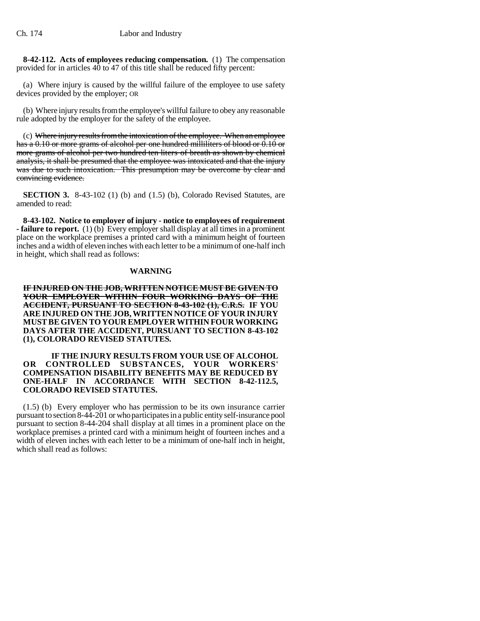**8-42-112. Acts of employees reducing compensation.** (1) The compensation provided for in articles 40 to 47 of this title shall be reduced fifty percent:

(a) Where injury is caused by the willful failure of the employee to use safety devices provided by the employer; OR

(b) Where injury results from the employee's willful failure to obey any reasonable rule adopted by the employer for the safety of the employee.

(c) Where injury results from the intoxication of the employee. When an employee has a 0.10 or more grams of alcohol per one hundred milliliters of blood or 0.10 or more grams of alcohol per two hundred ten liters of breath as shown by chemical analysis, it shall be presumed that the employee was intoxicated and that the injury was due to such intoxication. This presumption may be overcome by clear and convincing evidence.

**SECTION 3.** 8-43-102 (1) (b) and (1.5) (b), Colorado Revised Statutes, are amended to read:

**8-43-102. Notice to employer of injury - notice to employees of requirement - failure to report.** (1) (b) Every employer shall display at all times in a prominent place on the workplace premises a printed card with a minimum height of fourteen inches and a width of eleven inches with each letter to be a minimum of one-half inch in height, which shall read as follows:

## **WARNING**

**IF INJURED ON THE JOB, WRITTEN NOTICE MUST BE GIVEN TO YOUR EMPLOYER WITHIN FOUR WORKING DAYS OF THE ACCIDENT, PURSUANT TO SECTION 8-43-102 (1), C.R.S. IF YOU ARE INJURED ON THE JOB, WRITTEN NOTICE OF YOUR INJURY MUST BE GIVEN TO YOUR EMPLOYER WITHIN FOUR WORKING DAYS AFTER THE ACCIDENT, PURSUANT TO SECTION 8-43-102 (1), COLORADO REVISED STATUTES.**

**IF THE INJURY RESULTS FROM YOUR USE OF ALCOHOL OR CONTROLLED SUBSTANCES, YOUR WORKERS' COMPENSATION DISABILITY BENEFITS MAY BE REDUCED BY ONE-HALF IN ACCORDANCE WITH SECTION 8-42-112.5, COLORADO REVISED STATUTES.**

(1.5) (b) Every employer who has permission to be its own insurance carrier pursuant to section 8-44-201 or who participates in a public entity self-insurance pool pursuant to section 8-44-204 shall display at all times in a prominent place on the workplace premises a printed card with a minimum height of fourteen inches and a width of eleven inches with each letter to be a minimum of one-half inch in height, which shall read as follows: